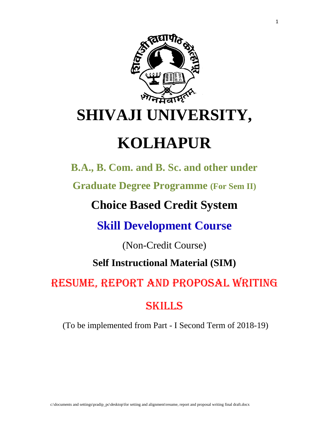

# **KOLHAPUR**

**B.A., B. Com. and B. Sc. and other under** 

**Graduate Degree Programme (For Sem II)**

## **Choice Based Credit System**

**Skill Development Course** 

(Non-Credit Course)

### **Self Instructional Material (SIM)**

## RESUME, REPORT AND PROPOSAL WRITING

## SKILLS

(To be implemented from Part - I Second Term of 2018-19)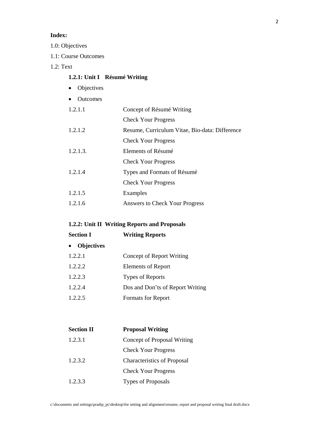#### **Index:**

1.0: Objectives

1.1: Course Outcomes

#### 1.2: Text

#### **1.2.1: Unit I Résumé Writing**

- Objectives
- Outcomes

| 1.2.1.1  | Concept of Résumé Writing                      |
|----------|------------------------------------------------|
|          | <b>Check Your Progress</b>                     |
| 1.2.1.2  | Resume, Curriculum Vitae, Bio-data: Difference |
|          | <b>Check Your Progress</b>                     |
| 1.2.1.3. | Elements of Résumé                             |
|          | <b>Check Your Progress</b>                     |
| 1.2.1.4  | Types and Formats of Résumé                    |
|          | <b>Check Your Progress</b>                     |
| 1.2.1.5  | Examples                                       |
| 1.2.1.6  | Answers to Check Your Progress                 |
|          |                                                |

#### **1.2.2: Unit II Writing Reports and Proposals**

| <b>Section I</b>  | <b>Writing Reports</b>           |
|-------------------|----------------------------------|
| <b>Objectives</b> |                                  |
| 1.2.2.1           | Concept of Report Writing        |
| 1.2.2.2           | <b>Elements of Report</b>        |
| 1.2.2.3           | Types of Reports                 |
| 1.2.2.4           | Dos and Don'ts of Report Writing |
| 1.2.2.5           | Formats for Report               |
|                   |                                  |

| <b>Section II</b> | <b>Proposal Writing</b>            |
|-------------------|------------------------------------|
| 1.2.3.1           | Concept of Proposal Writing        |
|                   | <b>Check Your Progress</b>         |
| 1.2.3.2           | <b>Characteristics of Proposal</b> |
|                   | <b>Check Your Progress</b>         |
| 1.2.3.3           | <b>Types of Proposals</b>          |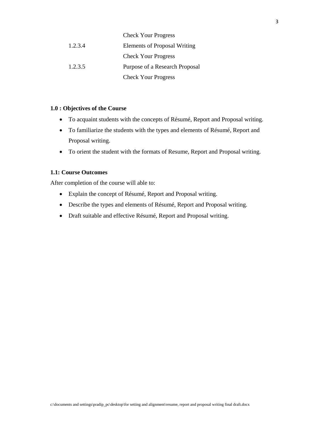|         | <b>Check Your Progress</b>          |
|---------|-------------------------------------|
| 1.2.3.4 | <b>Elements of Proposal Writing</b> |
|         | <b>Check Your Progress</b>          |
| 1.2.3.5 | Purpose of a Research Proposal      |
|         | <b>Check Your Progress</b>          |

#### **1.0 : Objectives of the Course**

- To acquaint students with the concepts of Résumé, Report and Proposal writing.
- To familiarize the students with the types and elements of Résumé, Report and Proposal writing.
- To orient the student with the formats of Resume, Report and Proposal writing.

#### **1.1: Course Outcomes**

After completion of the course will able to:

- Explain the concept of Résumé, Report and Proposal writing.
- Describe the types and elements of Résumé, Report and Proposal writing.
- Draft suitable and effective Résumé, Report and Proposal writing.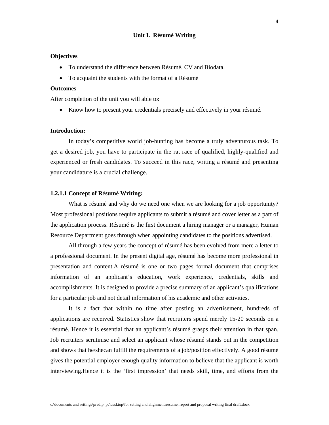#### **Unit I. Résumé Writing**

#### **Objectives**

- To understand the difference between Résumé, CV and Biodata.
- To acquaint the students with the format of a Résumé

#### **Outcomes**

After completion of the unit you will able to:

• Know how to present your credentials precisely and effectively in your résumé.

#### **Introduction:**

In today's competitive world job-hunting has become a truly adventurous task. To get a desired job, you have to participate in the rat race of qualified, highly-qualified and experienced or fresh candidates. To succeed in this race, writing a résumé and presenting your candidature is a crucial challenge.

#### **1.2.1.1 Concept of R**é**sum**é **Writing:**

What is résumé and why do we need one when we are looking for a job opportunity? Most professional positions require applicants to submit a résumé and cover letter as a part of the application process. Résumé is the first document a hiring manager or a manager, Human Resource Department goes through when appointing candidates to the positions advertised.

All through a few years the concept of résumé has been evolved from mere a letter to a professional document. In the present digital age, résumé has become more professional in presentation and content.A résumé is one or two pages formal document that comprises information of an applicant's education, work experience, credentials, skills and accomplishments. It is designed to provide a precise summary of an applicant's qualifications for a particular job and not detail information of his academic and other activities.

It is a fact that within no time after posting an advertisement, hundreds of applications are received. Statistics show that recruiters spend merely 15-20 seconds on a résumé. Hence it is essential that an applicant's résumé grasps their attention in that span. Job recruiters scrutinise and select an applicant whose résumé stands out in the competition and shows that he/shecan fulfill the requirements of a job/position effectively. A good résumé gives the potential employer enough quality information to believe that the applicant is worth interviewing.Hence it is the 'first impression' that needs skill, time, and efforts from the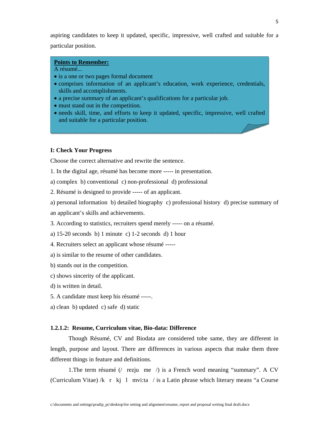aspiring candidates to keep it updated, specific, impressive, well crafted and suitable for a particular position.

#### **Points to Remember:**

#### A résumé...

- is a one or two pages formal document
- comprises information of an applicant's education, work experience, credentials, skills and accomplishments.
- a precise summary of an applicant's qualifications for a particular job.
- must stand out in the competition.
- needs skill, time, and efforts to keep it updated, specific, impressive, well crafted and suitable for a particular position.

#### **I: Check Your Progress**

Choose the correct alternative and rewrite the sentence.

- 1. In the digital age, résumé has become more ----- in presentation.
- a) complex b) conventional c) non-professional d) professional
- 2. Résumé is designed to provide ----- of an applicant.
- a) personal information b) detailed biography c) professional history d) precise summary of
- an applicant's skills and achievements.
- 3. According to statistics, recruiters spend merely ----- on a résumé.
- a) 15-20 seconds b) 1 minute c) 1-2 seconds d) 1 hour
- 4. Recruiters select an applicant whose résumé -----
- a) is similar to the resume of other candidates.
- b) stands out in the competition.
- c) shows sincerity of the applicant.
- d) is written in detail.
- 5. A candidate must keep his résumé -----.
- a) clean b) updated c) safe d) static

#### **1.2.1.2: Resume, Curriculum vitae, Bio-data: Difference**

Though Résumé, CV and Biodata are considered tobe same, they are different in length, purpose and layout. There are differences in various aspects that make them three different things in feature and definitions.

1. The term résumé (/ rezjume / ) is a French word meaning "summary". A CV (Curriculum Vitae) /k r kj l mvi:ta / is a Latin phrase which literary means "a Course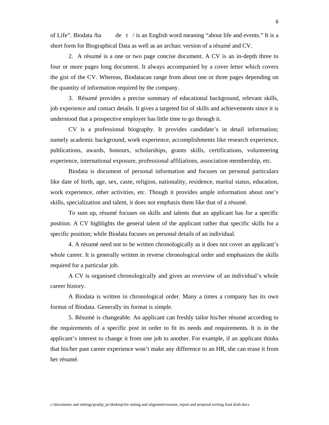of Life". Biodata /ba det/ is an English word meaning "about life and events." It is a short form for Biographical Data as well as an archaic version of a résumé and CV.

2. A résumé is a one or two page concise document. A CV is an in-depth three to four or more pages long document. It always accompanied by a cover letter which covers the gist of the CV. Whereas, Biodatacan range from about one or three pages depending on the quantity of information required by the company.

3. Résumé provides a precise summary of educational background, relevant skills, job experience and contact details. It gives a targeted list of skills and achievements since it is understood that a prospective employer has little time to go through it.

CV is a professional biography. It provides candidate's in detail information; namely academic background, work experience, accomplishments like research experience, publications, awards, honours, scholarships, grants skills, certifications, volunteering experience, international exposure, professional affiliations, association membership, etc.

Biodata is document of personal information and focuses on personal particulars like date of birth, age, sex, caste, religion, nationality, residence, marital status, education, work experience, other activities, etc. Though it provides ample information about one's skills, specialization and talent, it does not emphasis them like that of a résumé.

To sum up, résumé focuses on skills and talents that an applicant has for a specific position. A CV highlights the general talent of the applicant rather that specific skills for a specific position; while Biodata focuses on personal details of an individual.

4. A résumé need not to be written chronologically as it does not cover an applicant's whole career. It is generally written in reverse chronological order and emphasizes the skills required for a particular job.

A CV is organised chronologically and gives an overview of an individual's whole career history.

A Biodata is written in chronological order. Many a times a company has its own format of Biodata. Generally its format is simple.

5. Résumé is changeable. An applicant can freshly tailor his/her résumé according to the requirements of a specific post in order to fit its needs and requirements. It is in the applicant's interest to change it from one job to another. For example, if an applicant thinks that his/her past career experience won't make any difference to an HR, she can erase it from her résumé.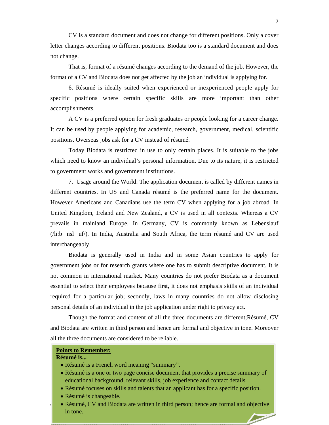CV is a standard document and does not change for different positions. Only a cover letter changes according to different positions. Biodata too is a standard document and does not change.

That is, format of a résumé changes according to the demand of the job. However, the format of a CV and Biodata does not get affected by the job an individual is applying for.

6. Résumé is ideally suited when experienced or inexperienced people apply for specific positions where certain specific skills are more important than other accomplishments.

A CV is a preferred option for fresh graduates or people looking for a career change. It can be used by people applying for academic, research, government, medical, scientific positions. Overseas jobs ask for a CV instead of résumé.

Today Biodata is restricted in use to only certain places. It is suitable to the jobs which need to know an individual's personal information. Due to its nature, it is restricted to government works and government institutions.

7. Usage around the World: The application document is called by different names in different countries. In US and Canada résumé is the preferred name for the document. However Americans and Canadians use the term CV when applying for a job abroad. In United Kingdom, Ireland and New Zealand, a CV is used in all contexts. Whereas a CV prevails in mainland Europe. In Germany, CV is commonly known as Lebenslauf  $(1$ i:b nsl uf $/$ ). In India, Australia and South Africa, the term résumé and CV are used interchangeably.

Biodata is generally used in India and in some Asian countries to apply for government jobs or for research grants where one has to submit descriptive document. It is not common in international market. Many countries do not prefer Biodata as a document essential to select their employees because first, it does not emphasis skills of an individual required for a particular job; secondly, laws in many countries do not allow disclosing personal details of an individual in the job application under right to privacy act.

Though the format and content of all the three documents are different;Résumé, CV and Biodata are written in third person and hence are formal and objective in tone. Moreover all the three documents are considered to be reliable.

#### **Points to Remember:**

#### **Résumé is...**

- Résumé is a French word meaning "summary".
- Résumé is a one or two page concise document that provides a precise summary of educational background, relevant skills, job experience and contact details.
- Résumé focuses on skills and talents that an applicant has for a specific position.
- Résumé is changeable.
- Résumé, CV and Biodata are written in third person; hence are formal and objective in tone.T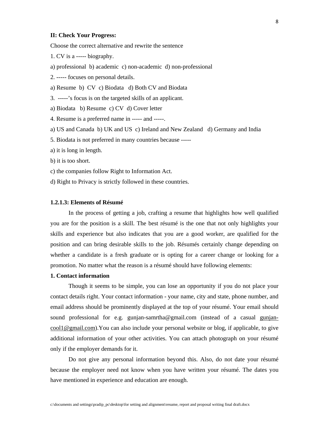#### **II: Check Your Progress:**

Choose the correct alternative and rewrite the sentence

- 1. CV is a ----- biography.
- a) professional b) academic c) non-academic d) non-professional
- 2. ----- focuses on personal details.
- a) Resume b) CV c) Biodata d) Both CV and Biodata
- 3. -----'s focus is on the targeted skills of an applicant.
- a) Biodata b) Resume c) CV d) Cover letter
- 4. Resume is a preferred name in ----- and -----.
- a) US and Canada b) UK and US c) Ireland and New Zealand d) Germany and India
- 5. Biodata is not preferred in many countries because -----
- a) it is long in length.
- b) it is too short.
- c) the companies follow Right to Information Act.
- d) Right to Privacy is strictly followed in these countries.

#### **1.2.1.3: Elements of Résumé**

In the process of getting a job, crafting a resume that highlights how well qualified you are for the position is a skill. The best résumé is the one that not only highlights your skills and experience but also indicates that you are a good worker, are qualified for the position and can bring desirable skills to the job. Résumés certainly change depending on whether a candidate is a fresh graduate or is opting for a career change or looking for a promotion. No matter what the reason is a résumé should have following elements:

#### **1. Contact information**

Though it seems to be simple, you can lose an opportunity if you do not place your contact details right. Your contact information - your name, city and state, phone number, and email address should be prominently displayed at the top of your résumé. Your email should sound professional for e.g. gunjan-samrtha@gmail.com (instead of a casual gunjancool1@gmail.com).You can also include your personal website or blog, if applicable, to give additional information of your other activities. You can attach photograph on your résumé only if the employer demands for it.

Do not give any personal information beyond this. Also, do not date your résumé because the employer need not know when you have written your résumé. The dates you have mentioned in experience and education are enough.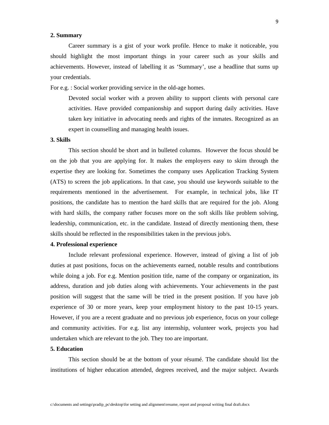#### **2. Summary**

Career summary is a gist of your work profile. Hence to make it noticeable, you should highlight the most important things in your career such as your skills and achievements. However, instead of labelling it as 'Summary', use a headline that sums up your credentials.

For e.g. : Social worker providing service in the old-age homes.

Devoted social worker with a proven ability to support clients with personal care activities. Have provided companionship and support during daily activities. Have taken key initiative in advocating needs and rights of the inmates. Recognized as an expert in counselling and managing health issues.

#### **3. Skills**

This section should be short and in bulleted columns. However the focus should be on the job that you are applying for. It makes the employers easy to skim through the expertise they are looking for. Sometimes the company uses Application Tracking System (ATS) to screen the job applications. In that case, you should use keywords suitable to the requirements mentioned in the advertisement. For example, in technical jobs, like IT positions, the candidate has to mention the hard skills that are required for the job. Along with hard skills, the company rather focuses more on the soft skills like problem solving, leadership, communication, etc. in the candidate. Instead of directly mentioning them, these skills should be reflected in the responsibilities taken in the previous job/s.

#### **4. Professional experience**

Include relevant professional experience. However, instead of giving a list of job duties at past positions, focus on the achievements earned, notable results and contributions while doing a job. For e.g. Mention position title, name of the company or organization, its address, duration and job duties along with achievements. Your achievements in the past position will suggest that the same will be tried in the present position. If you have job experience of 30 or more years, keep your employment history to the past 10-15 years. However, if you are a recent graduate and no previous job experience, focus on your college and community activities. For e.g. list any internship, volunteer work, projects you had undertaken which are relevant to the job. They too are important.

#### **5. Education**

This section should be at the bottom of your résumé. The candidate should list the institutions of higher education attended, degrees received, and the major subject. Awards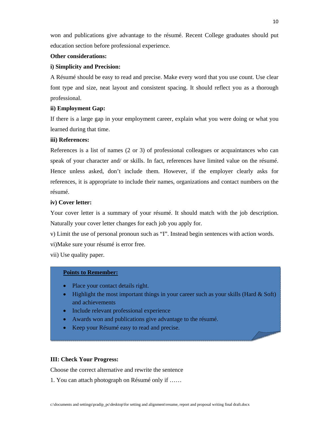won and publications give advantage to the résumé. Recent College graduates should put education section before professional experience.

#### **Other considerations:**

#### **i) Simplicity and Precision:**

A Résumé should be easy to read and precise. Make every word that you use count. Use clear font type and size, neat layout and consistent spacing. It should reflect you as a thorough professional.

#### **ii) Employment Gap:**

If there is a large gap in your employment career, explain what you were doing or what you learned during that time.

#### **iii) References:**

References is a list of names (2 or 3) of professional colleagues or acquaintances who can speak of your character and/ or skills. In fact, references have limited value on the résumé. Hence unless asked, don't include them. However, if the employer clearly asks for references, it is appropriate to include their names, organizations and contact numbers on the résumé.

#### **iv) Cover letter:**

Your cover letter is a summary of your résumé. It should match with the job description. Naturally your cover letter changes for each job you apply for.

v) Limit the use of personal pronoun such as "I". Instead begin sentences with action words.

vi)Make sure your résumé is error free.

vii) Use quality paper.

#### **Points to Remember:**

- Place your contact details right.
- Highlight the most important things in your career such as your skills (Hard  $&$  Soft) and achievements
- Include relevant professional experience
- Awards won and publications give advantage to the résumé.
- Keep your Résumé easy to read and precise.

#### **III: Check Your Progress:**

Choose the correct alternative and rewrite the sentence

1. You can attach photograph on Résumé only if ……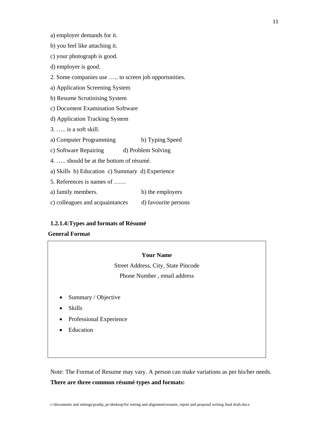a) employer demands for it.

- b) you feel like attaching it.
- c) your photograph is good.
- d) employer is good.
- 2. Some companies use ….. to screen job opportunities.
- a) Application Screening System
- b) Resume Scrutinising System
- c) Document Examination Software
- d) Application Tracking System
- 3. ….. is a soft skill.
- a) Computer Programming b) Typing Speed
- c) Software Repairing d) Problem Solving
- 4. ….. should be at the bottom of résumé.
- a) Skills b) Education c) Summary d) Experience
- 5. References is names of ……
- a) family members. b) the employers
- c) colleagues and acquaintances d) favourite persons

#### **1.2.1.4:Types and formats of Résumé**

#### **General Format**

#### **Your Name**

Street Address, City, State Pincode Phone Number , email address

- Summary / Objective
- Skills
- Professional Experience
- **Education**

Note: The Format of Resume may vary. A person can make variations as per his/her needs.

#### **There are three common résumé types and formats:**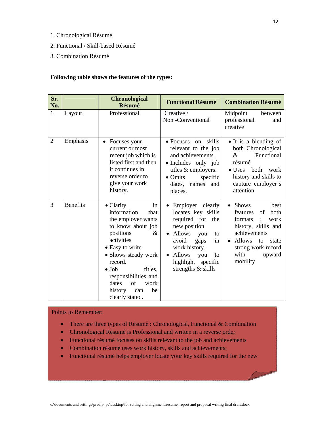- 1. Chronological Résumé
- 2. Functional / Skill-based Résumé
- 3. Combination Résumé

#### **Following table shows the features of the types:**

| Sr.<br>No.     |                 | <b>Chronological</b><br>Résumé                                                                                                                                                                                                                                                                       | <b>Functional Résumé</b>                                                                                                                                                                                               | <b>Combination Résumé</b>                                                                                                                                                                                 |
|----------------|-----------------|------------------------------------------------------------------------------------------------------------------------------------------------------------------------------------------------------------------------------------------------------------------------------------------------------|------------------------------------------------------------------------------------------------------------------------------------------------------------------------------------------------------------------------|-----------------------------------------------------------------------------------------------------------------------------------------------------------------------------------------------------------|
| 1              | Layout          | Professional                                                                                                                                                                                                                                                                                         | Creative /<br>Non-Conventional                                                                                                                                                                                         | Midpoint<br>between<br>professional<br>and<br>creative                                                                                                                                                    |
| $\overline{2}$ | Emphasis        | Focuses your<br>current or most<br>recent job which is<br>listed first and then<br>it continues in<br>reverse order to<br>give your work<br>history.                                                                                                                                                 | skills<br>$\bullet$ Focuses<br>on<br>relevant to the job<br>and achievements.<br>• Includes only job<br>titles & employers.<br>$\bullet$ Omits<br>specific<br>dates, names<br>and<br>places.                           | • It is a blending of<br>both Chronological<br>Functional<br>$\&$<br>résumé.<br>$\bullet$ Uses<br>both<br>work<br>history and skills to<br>capture employer's<br>attention                                |
| 3              | <b>Benefits</b> | $\bullet$ Clarity<br>in<br>information<br>that<br>the employer wants<br>to know about job<br>positions<br>&<br>activities<br>• Easy to write<br>• Shows steady work<br>record.<br>titles.<br>$\bullet$ Job<br>responsibilities and<br>of<br>dates<br>work<br>history<br>be<br>can<br>clearly stated. | Employer clearly<br>locates key skills<br>required for<br>the<br>new position<br><b>Allows</b><br>you<br>to<br>avoid<br>gaps<br>in<br>work history.<br>Allows<br>you<br>to<br>highlight specific<br>strengths & skills | <b>Shows</b><br>best<br>$\bullet$<br>features<br><b>both</b><br>of<br>formats<br>work<br>history, skills and<br>achievements<br>Allows<br>to<br>state<br>strong work record<br>with<br>upward<br>mobility |

#### Points to Remember:

**IV: Check Your Progress: International Progress: International Progress: International Progress: International Progress: International Progress: International Progress: International Progress: International Progress: Inte** 

- There are three types of Résumé : Chronological, Functional & Combination
- Chronological Résumé is Professional and written in a reverse order
- Functional résumé focuses on skills relevant to the job and achievements
- Combination résumé uses work history, skills and achievements.
- Functional résumé helps employer locate your key skills required for the new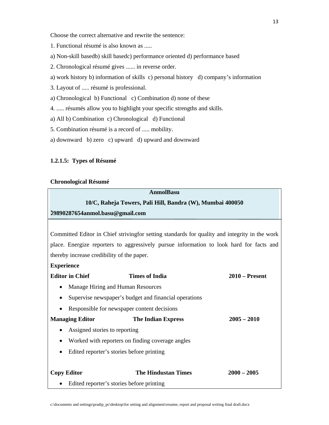Choose the correct alternative and rewrite the sentence:

- 1. Functional résumé is also known as .....
- a) Non-skill basedb) skill basedc) performance oriented d) performance based
- 2. Chronological résumé gives ...... in reverse order.
- a) work history b) information of skills c) personal history d) company's information
- 3. Layout of ..... résumé is professional.
- a) Chronological b) Functional c) Combination d) none of these
- 4. ..... résumés allow you to highlight your specific strengths and skills.
- a) All b) Combination c) Chronological d) Functional
- 5. Combination résumé is a record of ..... mobility.
- a) downward b) zero c) upward d) upward and downward

#### **1.2.1.5: Types of Résumé**

#### **Chronological Résumé**

#### **AnmolBasu**

#### **10/C, Raheja Towers, Pali Hill, Bandra (W), Mumbai 400050**

#### **9890287654anmol.basu@gmail.com**

Committed Editor in Chief strivingfor setting standards for quality and integrity in the work place. Energize reporters to aggressively pursue information to look hard for facts and thereby increase credibility of the paper.

#### **Experience**

| <b>Editor in Chief</b>                                 | <b>Times of India</b>                                 | $2010$ – Present |  |
|--------------------------------------------------------|-------------------------------------------------------|------------------|--|
| $\bullet$                                              | Manage Hiring and Human Resources                     |                  |  |
| $\bullet$                                              | Supervise newspaper's budget and financial operations |                  |  |
| $\bullet$                                              | Responsible for newspaper content decisions           |                  |  |
| <b>Managing Editor</b>                                 | <b>The Indian Express</b>                             | $2005 - 2010$    |  |
| Assigned stories to reporting<br>$\bullet$             |                                                       |                  |  |
| $\bullet$                                              | Worked with reporters on finding coverage angles      |                  |  |
| Edited reporter's stories before printing<br>$\bullet$ |                                                       |                  |  |
|                                                        |                                                       |                  |  |
| <b>Copy Editor</b>                                     | <b>The Hindustan Times</b>                            | $2000 - 2005$    |  |
| Edited reporter's stories before printing<br>$\bullet$ |                                                       |                  |  |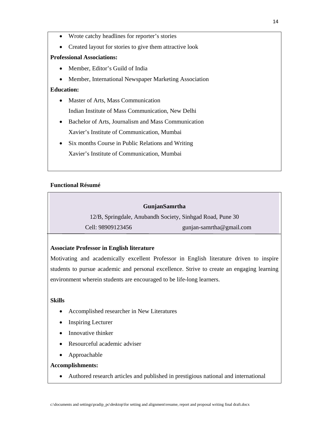- Wrote catchy headlines for reporter's stories
- Created layout for stories to give them attractive look

#### **Professional Associations:**

- Member, Editor's Guild of India
- Member, International Newspaper Marketing Association

#### **Education:**

- Master of Arts, Mass Communication Indian Institute of Mass Communication, New Delhi
- Bachelor of Arts, Journalism and Mass Communication Xavier's Institute of Communication, Mumbai
- Six months Course in Public Relations and Writing Xavier's Institute of Communication, Mumbai

#### **Functional Résumé**

#### **GunjanSamrtha**

12/B, Springdale, Anubandh Society, Sinhgad Road, Pune 30

Cell: 98909123456 gunjan-samrtha@gmail.com

#### **Associate Professor in English literature**

Motivating and academically excellent Professor in English literature driven to inspire students to pursue academic and personal excellence. Strive to create an engaging learning environment wherein students are encouraged to be life-long learners.

#### **Skills**

- Accomplished researcher in New Literatures
- Inspiring Lecturer
- Innovative thinker
- Resourceful academic adviser
- Approachable

#### **Accomplishments:**

• Authored research articles and published in prestigious national and international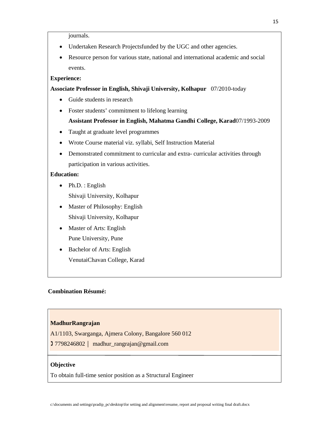journals.

- Undertaken Research Projectsfunded by the UGC and other agencies.
- Resource person for various state, national and international academic and social events.

#### **Experience:**

#### **Associate Professor in English, Shivaji University, Kolhapur** 07/2010-today

- Guide students in research
- Foster students' commitment to lifelong learning

#### **Assistant Professor in English, Mahatma Gandhi College, Karad**07/1993-2009

- Taught at graduate level programmes
- Wrote Course material viz. syllabi, Self Instruction Material
- Demonstrated commitment to curricular and extra- curricular activities through participation in various activities.

#### **Education:**

- Ph.D. : English Shivaji University, Kolhapur
- Master of Philosophy: English Shivaji University, Kolhapur
- Master of Arts: English Pune University, Pune
- Bachelor of Arts: English VenutaiChavan College, Karad

#### **Combination Résumé:**

#### **MadhurRangrajan**

- A1/1103, Swarganga, Ajmera Colony, Bangalore 560 012
- 7798246802 madhur\_rangrajan@gmail.com

#### **Objective**

To obtain full-time senior position as a Structural Engineer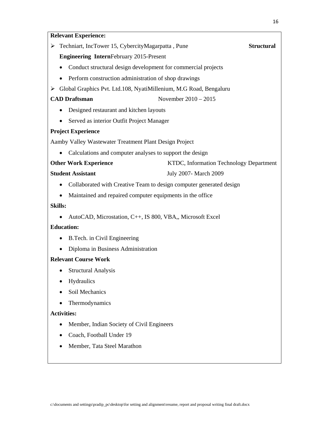#### **Relevant Experience:**

¾ Techniart, IncTower 15, CybercityMagarpatta , Pune **Structural** 

**Engineering Intern**February 2015-Present

- Conduct structural design development for commercial projects
- Perform construction administration of shop drawings
- ¾ Global Graphics Pvt. Ltd.108, NyatiMillenium, M.G Road, Bengaluru

**CAD Draftsman** November 2010 – 2015

- Designed restaurant and kitchen layouts
- Served as interior Outfit Project Manager

#### **Project Experience**

Aamby Valley Wastewater Treatment Plant Design Project

• Calculations and computer analyses to support the design

| <b>Other Work Experience</b> | KTDC, Information Technology Department |
|------------------------------|-----------------------------------------|
|------------------------------|-----------------------------------------|

#### **Student Assistant** July 2007- March 2009

- Collaborated with Creative Team to design computer generated design
- Maintained and repaired computer equipments in the office

#### **Skills:**

• AutoCAD, Microstation, C++, IS 800, VBA,, Microsoft Excel

#### **Education:**

- B.Tech. in Civil Engineering
- Diploma in Business Administration

#### **Relevant Course Work**

- Structural Analysis
- Hydraulics
- Soil Mechanics
- Thermodynamics

#### **Activities:**

- Member, Indian Society of Civil Engineers
- Coach, Football Under 19
- Member, Tata Steel Marathon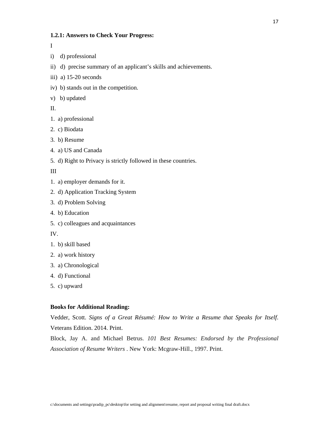#### **1.2.1: Answers to Check Your Progress:**

I

- i) d) professional
- ii) d) precise summary of an applicant's skills and achievements.
- iii) a) 15-20 seconds
- iv) b) stands out in the competition.
- v) b) updated

II.

- 1. a) professional
- 2. c) Biodata

3. b) Resume

- 4. a) US and Canada
- 5. d) Right to Privacy is strictly followed in these countries.

III

- 1. a) employer demands for it.
- 2. d) Application Tracking System
- 3. d) Problem Solving
- 4. b) Education
- 5. c) colleagues and acquaintances

IV.

- 1. b) skill based
- 2. a) work history
- 3. a) Chronological
- 4. d) Functional
- 5. c) upward

#### **Books for Additional Reading:**

Vedder, Scott. *Signs of a Great Résumé: How to Write a Resume that Speaks for Itself*. Veterans Edition. 2014. Print.

Block, Jay A. and Michael Betrus. *101 Best Resumes: Endorsed by the Professional Association of Resume Writers* . New York: Mcgraw-Hill., 1997. Print.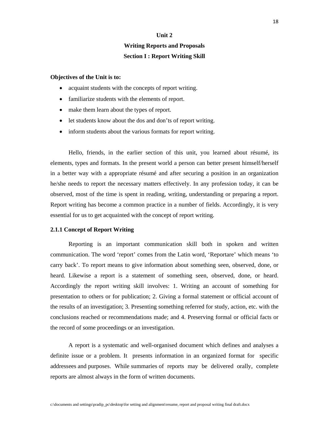#### **Unit 2**

### **Writing Reports and Proposals Section I : Report Writing Skill**

#### **Objectives of the Unit is to:**

- acquaint students with the concepts of report writing.
- familiarize students with the elements of report.
- make them learn about the types of report.
- let students know about the dos and don'ts of report writing.
- inform students about the various formats for report writing.

 Hello, friends, in the earlier section of this unit, you learned about résumé, its elements, types and formats. In the present world a person can better present himself/herself in a better way with a appropriate résumé and after securing a position in an organization he/she needs to report the necessary matters effectively. In any profession today, it can be observed, most of the time is spent in reading, writing, understanding or preparing a report. Report writing has become a common practice in a number of fields. Accordingly, it is very essential for us to get acquainted with the concept of report writing.

#### **2.1.1 Concept of Report Writing**

 Reporting is an important communication skill both in spoken and written communication. The word 'report' comes from the Latin word, 'Reportare' which means 'to carry back'. To report means to give information about something seen, observed, done, or heard. Likewise a report is a statement of something seen, observed, done, or heard. Accordingly the report writing skill involves: 1. Writing an account of something for presentation to others or for publication; 2. Giving a formal statement or official account of the results of an investigation; 3. Presenting something referred for study, action, etc. with the conclusions reached or recommendations made; and 4. Preserving formal or official facts or the record of some proceedings or an investigation.

 A report is a systematic and well-organised document which defines and analyses a definite issue or a problem. It presents information in an organized format for specific addressees and purposes. While summaries of reports may be delivered orally, complete reports are almost always in the form of written documents.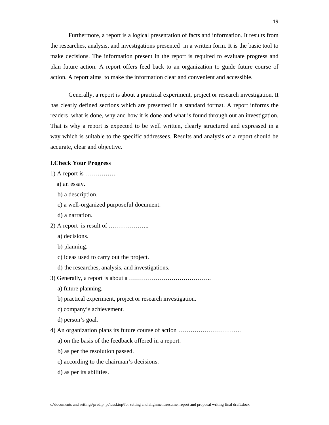Furthermore, a report is a logical presentation of facts and information. It results from the researches, analysis, and investigations presented in a written form. It is the basic tool to make decisions. The information present in the report is required to evaluate progress and plan future action. A report offers feed back to an organization to guide future course of action. A report aims to make the information clear and convenient and accessible.

Generally, a report is about a practical experiment, project or research investigation. It has clearly defined sections which are presented in a standard format. A report informs the readers what is done, why and how it is done and what is found through out an investigation. That is why a report is expected to be well written, clearly structured and expressed in a way which is suitable to the specific addressees. Results and analysis of a report should be accurate, clear and objective.

#### **I.Check Your Progress**

1) A report is ……………

- a) an essay. b) a description. c) a well-organized purposeful document. d) a narration. 2) A report is result of ……………….. a) decisions. b) planning. c) ideas used to carry out the project. d) the researches, analysis, and investigations. 3) Generally, a report is about a ………………………………….. a) future planning. b) practical experiment, project or research investigation. c) company's achievement. d) person's goal. 4) An organization plans its future course of action …………………………. a) on the basis of the feedback offered in a report. b) as per the resolution passed.
	- c) according to the chairman's decisions.
	- d) as per its abilities.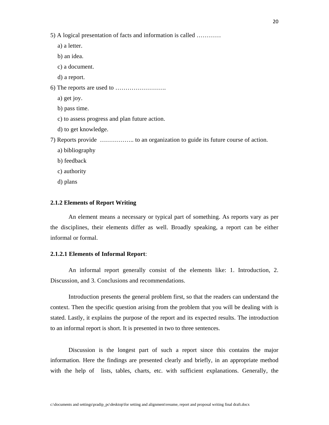a) a letter.

b) an idea.

- c) a document.
- d) a report.
- 6) The reports are used to …………………….
	- a) get joy.
	- b) pass time.
	- c) to assess progress and plan future action.
	- d) to get knowledge.

7) Reports provide …………….. to an organization to guide its future course of action.

- a) bibliography
- b) feedback
- c) authority
- d) plans

#### **2.1.2 Elements of Report Writing**

An element means a necessary or typical part of something. As reports vary as per the disciplines, their elements differ as well. Broadly speaking, a report can be either informal or formal.

#### **2.1.2.1 Elements of Informal Report**:

An informal report generally consist of the elements like: 1. Introduction, 2. Discussion, and 3. Conclusions and recommendations.

Introduction presents the general problem first, so that the readers can understand the context. Then the specific question arising from the problem that you will be dealing with is stated. Lastly, it explains the purpose of the report and its expected results. The introduction to an informal report is short. It is presented in two to three sentences.

Discussion is the longest part of such a report since this contains the major information. Here the findings are presented clearly and briefly, in an appropriate method with the help of lists, tables, charts, etc. with sufficient explanations. Generally, the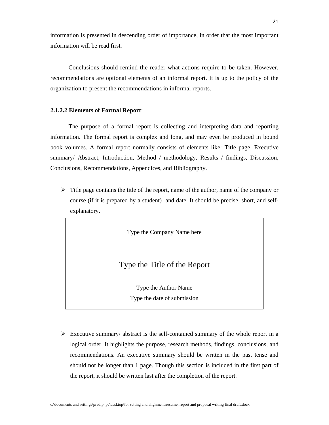information is presented in descending order of importance, in order that the most important information will be read first.

Conclusions should remind the reader what actions require to be taken. However, recommendations are optional elements of an informal report. It is up to the policy of the organization to present the recommendations in informal reports.

#### **2.1.2.2 Elements of Formal Report**:

The purpose of a formal report is collecting and interpreting data and reporting information. The formal report is complex and long, and may even be produced in bound book volumes. A formal report normally consists of elements like: Title page, Executive summary/ Abstract, Introduction, Method / methodology, Results / findings, Discussion, Conclusions, Recommendations, Appendices, and Bibliography.

 $\triangleright$  Title page contains the title of the report, name of the author, name of the company or course (if it is prepared by a student) and date. It should be precise, short, and selfexplanatory.

Type the Company Name here

#### Type the Title of the Report

Type the Author Name Type the date of submission

 $\triangleright$  Executive summary/ abstract is the self-contained summary of the whole report in a logical order. It highlights the purpose, research methods, findings, conclusions, and recommendations. An executive summary should be written in the past tense and should not be longer than 1 page. Though this section is included in the first part of the report, it should be written last after the completion of the report.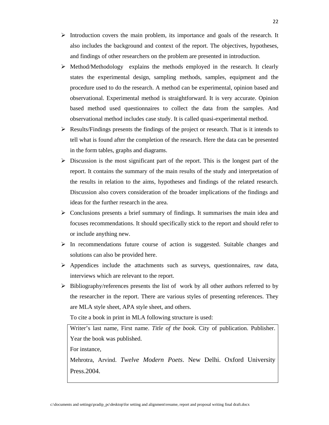- $\triangleright$  Introduction covers the main problem, its importance and goals of the research. It also includes the background and context of the report. The objectives, hypotheses, and findings of other researchers on the problem are presented in introduction.
- $\triangleright$  Method/Methodology explains the methods employed in the research. It clearly states the experimental design, sampling methods, samples, equipment and the procedure used to do the research. A method can be experimental, opinion based and observational. Experimental method is straightforward. It is very accurate. Opinion based method used questionnaires to collect the data from the samples. And observational method includes case study. It is called quasi-experimental method.
- $\triangleright$  Results/Findings presents the findings of the project or research. That is it intends to tell what is found after the completion of the research. Here the data can be presented in the form tables, graphs and diagrams.
- $\triangleright$  Discussion is the most significant part of the report. This is the longest part of the report. It contains the summary of the main results of the study and interpretation of the results in relation to the aims, hypotheses and findings of the related research. Discussion also covers consideration of the broader implications of the findings and ideas for the further research in the area.
- $\triangleright$  Conclusions presents a brief summary of findings. It summarises the main idea and focuses recommendations. It should specifically stick to the report and should refer to or include anything new.
- $\triangleright$  In recommendations future course of action is suggested. Suitable changes and solutions can also be provided here.
- $\triangleright$  Appendices include the attachments such as surveys, questionnaires, raw data, interviews which are relevant to the report.
- $\triangleright$  Bibliography/references presents the list of work by all other authors referred to by the researcher in the report. There are various styles of presenting references. They are MLA style sheet, APA style sheet, and others.

To cite a book in print in MLA following structure is used:

Writer's last name, First name. *Title of the book*. City of publication. Publisher. Year the book was published.

For instance,

Mehrotra, Arvind. *Twelve Modern Poets*. New Delhi. Oxford University Press.2004.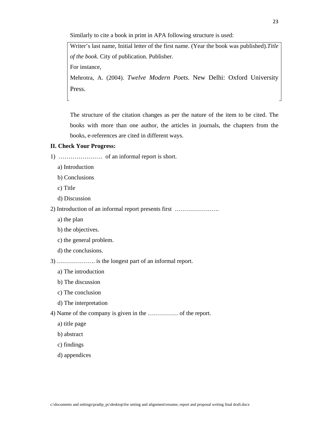Similarly to cite a book in print in APA following structure is used:

Writer's last name, Initial letter of the first name. (Year the book was published).*Title of the book*. City of publication. Publisher. For instance,

Mehrotra, A. (2004). *Twelve Modern Poets*. New Delhi: Oxford University Press.

The structure of the citation changes as per the nature of the item to be cited. The books with more than one author, the articles in journals, the chapters from the books, e-references are cited in different ways.

#### **II. Check Your Progress:**

1) …………………. of an informal report is short.

- a) Introduction
- b) Conclusions
- c) Title
- d) Discussion

2) Introduction of an informal report presents first ………………….

- a) the plan
- b) the objectives.
- c) the general problem.
- d) the conclusions.

3) ………………. is the longest part of an informal report.

- a) The introduction
- b) The discussion
- c) The conclusion
- d) The interpretation

4) Name of the company is given in the …………… of the report.

- a) title page
- b) abstract
- c) findings
- d) appendices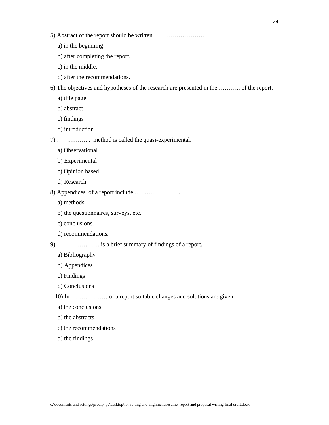- a) in the beginning.
- b) after completing the report.
- c) in the middle.
- d) after the recommendations.

6) The objectives and hypotheses of the research are presented in the ……….. of the report.

- a) title page
- b) abstract
- c) findings
- d) introduction

7) …………….. method is called the quasi-experimental.

- a) Observational
- b) Experimental
- c) Opinion based
- d) Research
- 8) Appendices of a report include …………………..
	- a) methods.
	- b) the questionnaires, surveys, etc.
	- c) conclusions.
	- d) recommendations.

9) ………………… is a brief summary of findings of a report.

- a) Bibliography
- b) Appendices
- c) Findings
- d) Conclusions
- 10) In ……………… of a report suitable changes and solutions are given.
- a) the conclusions
- b) the abstracts
- c) the recommendations
- d) the findings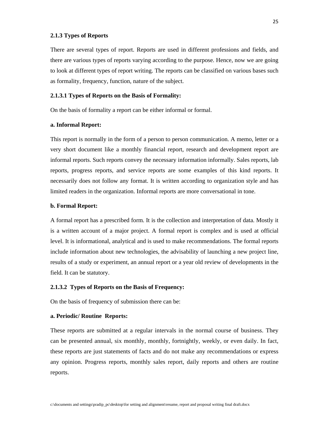#### **2.1.3 Types of Reports**

There are several types of report. Reports are used in different professions and fields, and there are various types of reports varying according to the purpose. Hence, now we are going to look at different types of report writing. The reports can be classified on various bases such as formality, frequency, function, nature of the subject.

#### **2.1.3.1 Types of Reports on the Basis of Formality:**

On the basis of formality a report can be either informal or formal.

#### **a. Informal Report:**

This report is normally in the form of a person to person communication. A memo, letter or a very short document like a monthly financial report, research and development report are informal reports. Such reports convey the necessary information informally. Sales reports, lab reports, progress reports, and service reports are some examples of this kind reports. It necessarily does not follow any format. It is written according to organization style and has limited readers in the organization. Informal reports are more conversational in tone.

#### **b. Formal Report:**

A formal report has a prescribed form. It is the collection and interpretation of data. Mostly it is a written account of a major project. A formal report is complex and is used at official level. It is informational, analytical and is used to make recommendations. The formal reports include information about new technologies, the advisability of launching a new project line, results of a study or experiment, an annual report or a year old review of developments in the field. It can be statutory.

#### **2.1.3.2 Types of Reports on the Basis of Frequency:**

On the basis of frequency of submission there can be:

#### **a. Periodic/ Routine Reports:**

These reports are submitted at a regular intervals in the normal course of business. They can be presented annual, six monthly, monthly, fortnightly, weekly, or even daily. In fact, these reports are just statements of facts and do not make any recommendations or express any opinion. Progress reports, monthly sales report, daily reports and others are routine reports.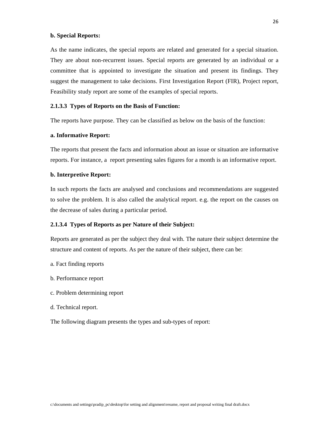#### **b. Special Reports:**

As the name indicates, the special reports are related and generated for a special situation. They are about non-recurrent issues. Special reports are generated by an individual or a committee that is appointed to investigate the situation and present its findings. They suggest the management to take decisions. First Investigation Report (FIR), Project report, Feasibility study report are some of the examples of special reports.

#### **2.1.3.3 Types of Reports on the Basis of Function:**

The reports have purpose. They can be classified as below on the basis of the function:

#### **a. Informative Report:**

The reports that present the facts and information about an issue or situation are informative reports. For instance, a report presenting sales figures for a month is an informative report.

#### **b. Interpretive Report:**

In such reports the facts are analysed and conclusions and recommendations are suggested to solve the problem. It is also called the analytical report. e.g. the report on the causes on the decrease of sales during a particular period.

#### **2.1.3.4 Types of Reports as per Nature of their Subject:**

Reports are generated as per the subject they deal with. The nature their subject determine the structure and content of reports. As per the nature of their subject, there can be:

- a. Fact finding reports
- b. Performance report
- c. Problem determining report
- d. Technical report.

The following diagram presents the types and sub-types of report: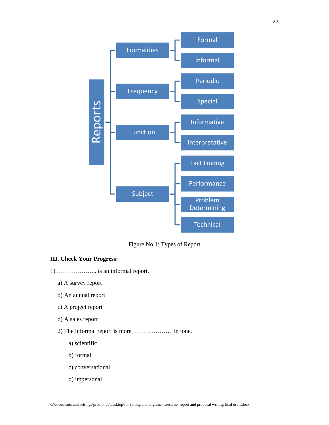

Figure No.1: Types of Report

#### **III. Check Your Progress:**

- 1) ……………….. is an informal report.
	- a) A survey report
	- b) An annual report
	- c) A project report
	- d) A sales report
	- 2) The informal report is more ………………. in tone.
		- a) scientific
		- b) formal
		- c) conversational
		- d) impersonal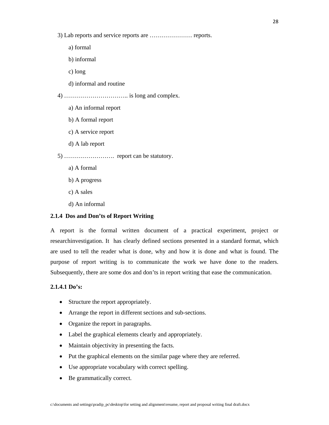3) Lab reports and service reports are ………………… reports.

- a) formal
- b) informal
- c) long
- d) informal and routine

4) ………………………….. is long and complex.

- a) An informal report
- b) A formal report
- c) A service report
- d) A lab report

5) ……………………. report can be statutory.

- a) A formal
- b) A progress
- c) A sales
- d) An informal

#### **2.1.4 Dos and Don'ts of Report Writing**

A report is the formal written document of a practical experiment, project or researchinvestigation. It has clearly defined sections presented in a standard format, which are used to tell the reader what is done, why and how it is done and what is found. The purpose of report writing is to communicate the work we have done to the readers. Subsequently, there are some dos and don'ts in report writing that ease the communication.

#### **2.1.4.1 Do's:**

- Structure the report appropriately.
- Arrange the report in different sections and sub-sections.
- Organize the report in paragraphs.
- Label the graphical elements clearly and appropriately.
- Maintain objectivity in presenting the facts.
- Put the graphical elements on the similar page where they are referred.
- Use appropriate vocabulary with correct spelling.
- Be grammatically correct.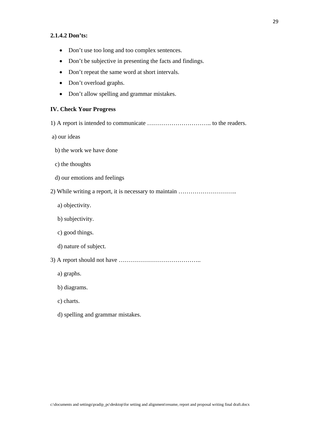#### **2.1.4.2 Don'ts:**

- Don't use too long and too complex sentences.
- Don't be subjective in presenting the facts and findings.
- Don't repeat the same word at short intervals.
- Don't overload graphs.
- Don't allow spelling and grammar mistakes.

#### **IV. Check Your Progress**

- 1) A report is intended to communicate ………………………….. to the readers.
- a) our ideas
- b) the work we have done
- c) the thoughts
- d) our emotions and feelings
- 2) While writing a report, it is necessary to maintain ………………………..
	- a) objectivity.
	- b) subjectivity.
	- c) good things.
	- d) nature of subject.
- 3) A report should not have …………………………………..
	- a) graphs.
	- b) diagrams.
	- c) charts.
	- d) spelling and grammar mistakes.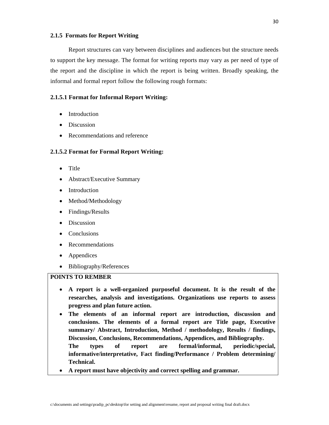#### **2.1.5 Formats for Report Writing**

Report structures can vary between disciplines and audiences but the structure needs to support the key message. The format for writing reports may vary as per need of type of the report and the discipline in which the report is being written. Broadly speaking, the informal and formal report follow the following rough formats:

#### **2.1.5.1 Format for Informal Report Writing:**

- Introduction
- Discussion
- Recommendations and reference

#### **2.1.5.2 Format for Formal Report Writing:**

- Title
- Abstract/Executive Summary
- Introduction
- Method/Methodology
- Findings/Results
- Discussion
- **Conclusions**
- Recommendations
- Appendices
- Bibliography/References

#### **POINTS TO REMBER**

- **A report is a well-organized purposeful document. It is the result of the researches, analysis and investigations. Organizations use reports to assess progress and plan future action.**
- **The elements of an informal report are introduction, discussion and conclusions. The elements of a formal report are Title page, Executive summary/ Abstract, Introduction, Method / methodology, Results / findings, Discussion, Conclusions, Recommendations, Appendices, and Bibliography. The types of report are formal/informal, periodic/special,** 
	- **informative/interpretative, Fact finding/Performance / Problem determining/ Technical.**
- **A report must have objectivity and correct spelling and grammar.**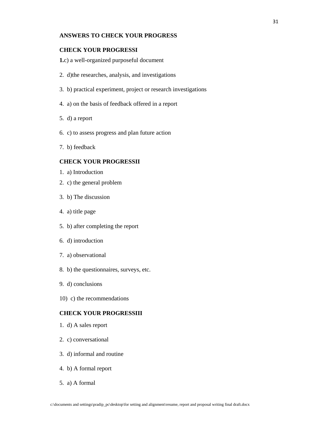#### **ANSWERS TO CHECK YOUR PROGRESS**

#### **CHECK YOUR PROGRESSI**

**1.**c) a well-organized purposeful document

- 2. d)the researches, analysis, and investigations
- 3. b) practical experiment, project or research investigations
- 4. a) on the basis of feedback offered in a report
- 5. d) a report
- 6. c) to assess progress and plan future action
- 7. b) feedback

#### **CHECK YOUR PROGRESSII**

- 1. a) Introduction
- 2. c) the general problem
- 3. b) The discussion
- 4. a) title page
- 5. b) after completing the report
- 6. d) introduction
- 7. a) observational
- 8. b) the questionnaires, surveys, etc.
- 9. d) conclusions
- 10) c) the recommendations

#### **CHECK YOUR PROGRESSIII**

- 1. d) A sales report
- 2. c) conversational
- 3. d) informal and routine
- 4. b) A formal report
- 5. a) A formal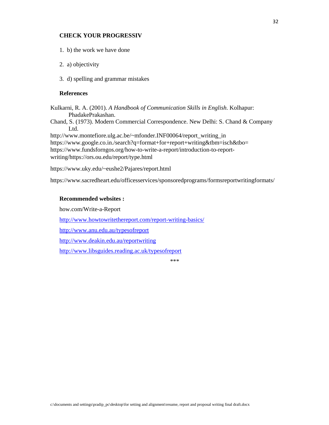#### **CHECK YOUR PROGRESSIV**

1. b) the work we have done

- 2. a) objectivity
- 3. d) spelling and grammar mistakes

#### **References**

Kulkarni, R. A. (2001). *A Handbook of Communication Skills in English*. Kolhapur: PhadakePrakashan.

Chand, S. (1973). Modern Commercial Correspondence. New Delhi: S. Chand & Company Ltd.

http://www.montefiore.ulg.ac.be/~mfonder.INF00064/report\_writing\_in https://www.google.co.in./search?q=format+for+report+writing&tbm=isch&tbo= https://www.fundsforngos.org/how-to-write-a-report/introduction-to-reportwriting/https://ors.ou.edu/report/type.html

https://www.uky.edu/~eushe2/Pajares/report.html

https://www.sacredheart.edu/officesservices/sponsoredprograms/formsreportwritingformats/

#### **Recommended websites :**

how.com/Write-a-Report

http://www.howtowritethereport.com/report-writing-basics/

http://www.anu.edu.au/typesofreport

http://www.deakin.edu.au/reportwriting

http://www.libsguides.reading.ac.uk/typesofreport

 $***$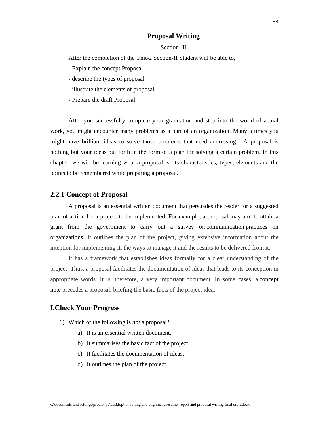#### **Proposal Writing**

#### Section -II

After the completion of the Unit-2 Section-II Student will be able to,

- Explain the concept Proposal
- describe the types of proposal
- illustrate the elements of proposal
- Prepare the draft Proposal

After you successfully complete your graduation and step into the world of actual work, you might encounter many problems as a part of an organization. Many a times you might have brilliant ideas to solve those problems that need addressing. A proposal is nothing but your ideas put forth in the form of a plan for solving a certain problem. In this chapter, we will be learning what a proposal is, its characteristics, types, elements and the points to be remembered while preparing a proposal.

#### **2.2.1 Concept of Proposal**

A proposal is an essential written document that persuades the reader for a suggested plan of action for a project to be implemented. For example, a proposal may aim to attain a grant from the government to carry out a survey on communication practices on organizations. It outlines the plan of the project, giving extensive information about the intention for implementing it, the ways to manage it and the results to be delivered from it.

It has a framework that establishes ideas formally for a clear understanding of the project. Thus, a proposal facilitates the documentation of ideas that leads to its conception in appropriate words. It is, therefore, a very important document. In some cases, a concept note precedes a proposal, briefing the basic facts of the project idea.

#### **I.Check Your Progress**

- 1) Which of the following is *not* a proposal?
	- a) It is an essential written document.
	- b) It summarises the basic fact of the project.
	- c) It facilitates the documentation of ideas.
	- d) It outlines the plan of the project.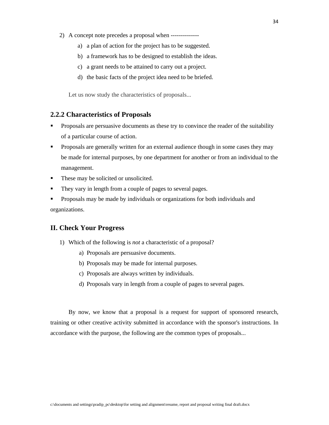- 2) A concept note precedes a proposal when -------------
	- a) a plan of action for the project has to be suggested.
	- b) a framework has to be designed to establish the ideas.
	- c) a grant needs to be attained to carry out a project.
	- d) the basic facts of the project idea need to be briefed.

Let us now study the characteristics of proposals...

#### **2.2.2 Characteristics of Proposals**

- **Proposals are persuasive documents as these try to convince the reader of the suitability** of a particular course of action.
- **Proposals are generally written for an external audience though in some cases they may** be made for internal purposes, by one department for another or from an individual to the management.
- **These may be solicited or unsolicited.**
- They vary in length from a couple of pages to several pages.
- Proposals may be made by individuals or organizations for both individuals and organizations.

#### **II. Check Your Progress**

- 1) Which of the following is *not* a characteristic of a proposal?
	- a) Proposals are persuasive documents.
	- b) Proposals may be made for internal purposes.
	- c) Proposals are always written by individuals.
	- d) Proposals vary in length from a couple of pages to several pages.

By now, we know that a proposal is a request for support of sponsored research, training or other creative activity submitted in accordance with the sponsor's instructions. In accordance with the purpose, the following are the common types of proposals...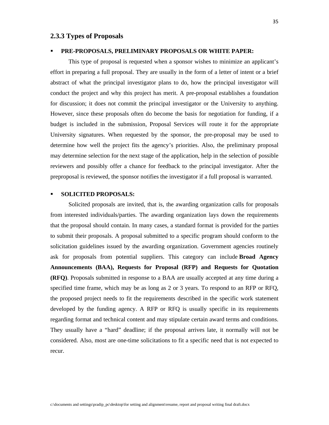#### **2.3.3 Types of Proposals**

#### **PRE-PROPOSALS, PRELIMINARY PROPOSALS OR WHITE PAPER:**

This type of proposal is requested when a sponsor wishes to minimize an applicant's effort in preparing a full proposal. They are usually in the form of a letter of intent or a brief abstract of what the principal investigator plans to do, how the principal investigator will conduct the project and why this project has merit. A pre-proposal establishes a foundation for discussion; it does not commit the principal investigator or the University to anything. However, since these proposals often do become the basis for negotiation for funding, if a budget is included in the submission, Proposal Services will route it for the appropriate University signatures. When requested by the sponsor, the pre-proposal may be used to determine how well the project fits the agency's priorities. Also, the preliminary proposal may determine selection for the next stage of the application, help in the selection of possible reviewers and possibly offer a chance for feedback to the principal investigator. After the preproposal is reviewed, the sponsor notifies the investigator if a full proposal is warranted.

#### **SOLICITED PROPOSALS:**

Solicited proposals are invited, that is, the awarding organization calls for proposals from interested individuals/parties. The awarding organization lays down the requirements that the proposal should contain. In many cases, a standard format is provided for the parties to submit their proposals. A proposal submitted to a specific program should conform to the solicitation guidelines issued by the awarding organization. Government agencies routinely ask for proposals from potential suppliers. This category can include **Broad Agency Announcements (BAA), Requests for Proposal (RFP) and Requests for Quotation (RFQ)**. Proposals submitted in response to a BAA are usually accepted at any time during a specified time frame, which may be as long as 2 or 3 years. To respond to an RFP or RFQ, the proposed project needs to fit the requirements described in the specific work statement developed by the funding agency. A RFP or RFQ is usually specific in its requirements regarding format and technical content and may stipulate certain award terms and conditions. They usually have a "hard" deadline; if the proposal arrives late, it normally will not be considered. Also, most are one-time solicitations to fit a specific need that is not expected to recur.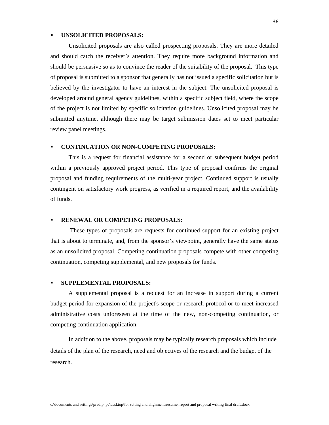#### **UNSOLICITED PROPOSALS:**

Unsolicited proposals are also called prospecting proposals. They are more detailed and should catch the receiver's attention. They require more background information and should be persuasive so as to convince the reader of the suitability of the proposal. This type of proposal is submitted to a sponsor that generally has not issued a specific solicitation but is believed by the investigator to have an interest in the subject. The unsolicited proposal is developed around general agency guidelines, within a specific subject field, where the scope of the project is not limited by specific solicitation guidelines. Unsolicited proposal may be submitted anytime, although there may be target submission dates set to meet particular review panel meetings.

#### **CONTINUATION OR NON-COMPETING PROPOSALS:**

 This is a request for financial assistance for a second or subsequent budget period within a previously approved project period. This type of proposal confirms the original proposal and funding requirements of the multi-year project. Continued support is usually contingent on satisfactory work progress, as verified in a required report, and the availability of funds.

#### **RENEWAL OR COMPETING PROPOSALS:**

 These types of proposals are requests for continued support for an existing project that is about to terminate, and, from the sponsor's viewpoint, generally have the same status as an unsolicited proposal. Competing continuation proposals compete with other competing continuation, competing supplemental, and new proposals for funds.

#### **SUPPLEMENTAL PROPOSALS:**

A supplemental proposal is a request for an increase in support during a current budget period for expansion of the project's scope or research protocol or to meet increased administrative costs unforeseen at the time of the new, non-competing continuation, or competing continuation application.

In addition to the above, proposals may be typically research proposals which include details of the plan of the research, need and objectives of the research and the budget of the research.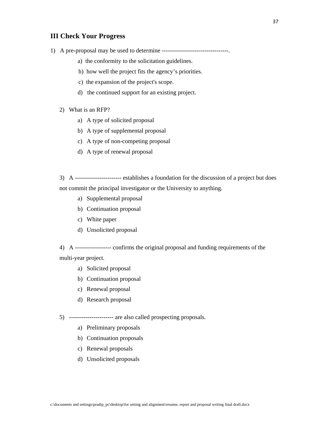#### **III Check Your Progress**

- 1) A pre-proposal may be used to determine ---------------------------------.
	- a) the conformity to the solicitation guidelines.
	- b) how well the project fits the agency's priorities.
	- c) the expansion of the project's scope.
	- d) the continued support for an existing project.
	- 2) What is an RFP?
		- a) A type of solicited proposal
		- b) A type of supplemental proposal
		- c) A type of non-competing proposal
		- d) A type of renewal proposal
	- 3) A ----------------------- establishes a foundation for the discussion of a project but does not commit the principal investigator or the University to anything.
		- a) Supplemental proposal
		- b) Continuation proposal
		- c) White paper
		- d) Unsolicited proposal
	- 4) A ------------------ confirms the original proposal and funding requirements of the multi-year project.
		- a) Solicited proposal
		- b) Continuation proposal
		- c) Renewal proposal
		- d) Research proposal

5) ---------------------- are also called prospecting proposals.

- a) Preliminary proposals
- b) Continuation proposals
- c) Renewal proposals
- d) Unsolicited proposals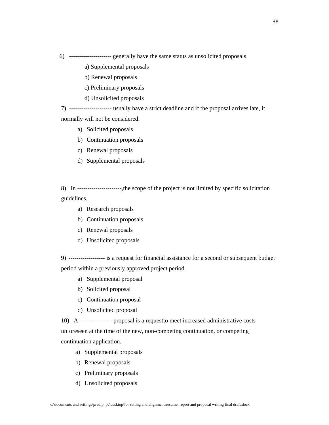6) --------------------- generally have the same status as unsolicited proposals.

a) Supplemental proposals

b) Renewal proposals

c) Preliminary proposals

d) Unsolicited proposals

7) --------------------- usually have a strict deadline and if the proposal arrives late, it normally will not be considered.

- a) Solicited proposals
- b) Continuation proposals
- c) Renewal proposals
- d) Supplemental proposals

8) In ----------------------,the scope of the project is not limited by specific solicitation guidelines.

- a) Research proposals
- b) Continuation proposals
- c) Renewal proposals
- d) Unsolicited proposals

9) ------------------ is a request for financial assistance for a second or subsequent budget period within a previously approved project period.

- a) Supplemental proposal
- b) Solicited proposal
- c) Continuation proposal
- d) Unsolicited proposal

10) A ---------------- proposal is a requestto meet increased administrative costs unforeseen at the time of the new, non-competing continuation, or competing continuation application.

- a) Supplemental proposals
- b) Renewal proposals
- c) Preliminary proposals
- d) Unsolicited proposals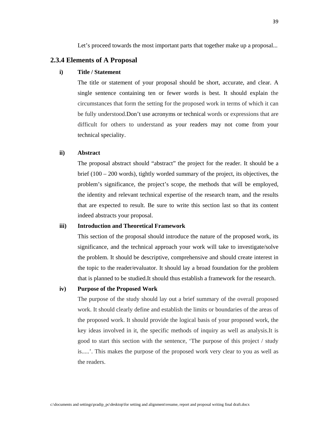Let's proceed towards the most important parts that together make up a proposal...

#### **2.3.4 Elements of A Proposal**

#### **i) Title / Statement**

The title or statement of your proposal should be short, accurate, and clear. A single sentence containing ten or fewer words is best. It should explain the circumstances that form the setting for the proposed work in terms of which it can be fully understood.Don't use acronyms or technical words or expressions that are difficult for others to understand as your readers may not come from your technical speciality.

#### **ii) Abstract**

The proposal abstract should "abstract" the project for the reader. It should be a brief (100 – 200 words), tightly worded summary of the project, its objectives, the problem's significance, the project's scope, the methods that will be employed, the identity and relevant technical expertise of the research team, and the results that are expected to result. Be sure to write this section last so that its content indeed abstracts your proposal.

#### **iii) Introduction and Theoretical Framework**

This section of the proposal should introduce the nature of the proposed work, its significance, and the technical approach your work will take to investigate/solve the problem. It should be descriptive, comprehensive and should create interest in the topic to the reader/evaluator. It should lay a broad foundation for the problem that is planned to be studied.It should thus establish a framework for the research.

#### **iv) Purpose of the Proposed Work**

The purpose of the study should lay out a brief summary of the overall proposed work. It should clearly define and establish the limits or boundaries of the areas of the proposed work. It should provide the logical basis of your proposed work, the key ideas involved in it, the specific methods of inquiry as well as analysis.It is good to start this section with the sentence, 'The purpose of this project / study is.....'. This makes the purpose of the proposed work very clear to you as well as the readers.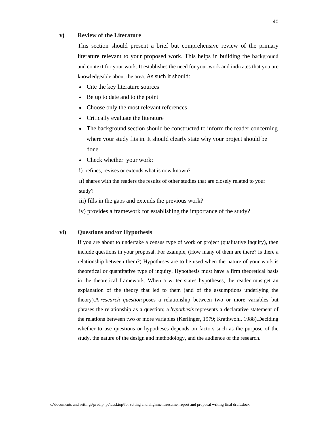#### **v) Review of the Literature**

This section should present a brief but comprehensive review of the primary literature relevant to your proposed work. This helps in building the background and context for your work. It establishes the need for your work and indicates that you are knowledgeable about the area. As such it should:

- Cite the key literature sources
- Be up to date and to the point
- Choose only the most relevant references
- Critically evaluate the literature
- The background section should be constructed to inform the reader concerning where your study fits in. It should clearly state why your project should be done.
- Check whether your work:

i) refines, revises or extends what is now known?

ii) shares with the readers the results of other studies that are closely related to your study?

iii) fills in the gaps and extends the previous work?

iv) provides a framework for establishing the importance of the study?

#### **vi) Questions and/or Hypothesis**

If you are about to undertake a census type of work or project (qualitative inquiry), then include questions in your proposal. For example, (How many of them are there? Is there a relationship between them?) Hypotheses are to be used when the nature of your work is theoretical or quantitative type of inquiry. Hypothesis must have a firm theoretical basis in the theoretical framework. When a writer states hypotheses, the reader mustget an explanation of the theory that led to them (and of the assumptions underlying the theory).A *research question* poses a relationship between two or more variables but phrases the relationship as a question; a *hypothesis* represents a declarative statement of the relations between two or more variables (Kerlinger, 1979; Krathwohl, 1988).Deciding whether to use questions or hypotheses depends on factors such as the purpose of the study, the nature of the design and methodology, and the audience of the research.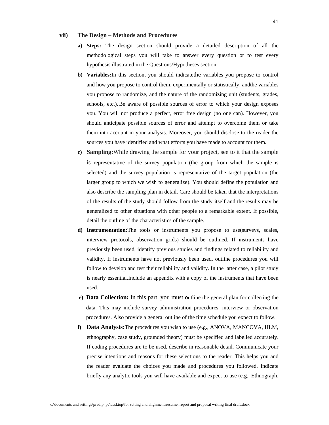#### **vii) The Design – Methods and Procedures**

- **a) Steps:** The design section should provide a detailed description of all the methodological steps you will take to answer every question or to test every hypothesis illustrated in the Questions/Hypotheses section.
- **b) Variables:**In this section, you should indicatethe variables you propose to control and how you propose to control them, experimentally or statistically, andthe variables you propose to randomize, and the nature of the randomizing unit (students, grades, schools, etc.).Be aware of possible sources of error to which your design exposes you. You will not produce a perfect, error free design (no one can). However, you should anticipate possible sources of error and attempt to overcome them or take them into account in your analysis. Moreover, you should disclose to the reader the sources you have identified and what efforts you have made to account for them.
- **c) Sampling:**While drawing the sample for your project, see to it that the sample is representative of the survey population (the group from which the sample is selected) and the survey population is representative of the target population (the larger group to which we wish to generalize). You should define the population and also describe the sampling plan in detail. Care should be taken that the interpretations of the results of the study should follow from the study itself and the results may be generalized to other situations with other people to a remarkable extent. If possible, detail the outline of the characteristics of the sample.
- **d) Instrumentation:**The tools or instruments you propose to use(surveys, scales, interview protocols, observation grids) should be outlined. If instruments have previously been used, identify previous studies and findings related to reliability and validity. If instruments have not previously been used, outline procedures you will follow to develop and test their reliability and validity. In the latter case, a pilot study is nearly essential.Include an appendix with a copy of the instruments that have been used.
- **e) Data Collection:** In this part, you must **o**utline the general plan for collecting the data. This may include survey administration procedures, interview or observation procedures. Also provide a general outline of the time schedule you expect to follow.
- **f) Data Analysis:**The procedures you wish to use (e.g., ANOVA, MANCOVA, HLM, ethnography, case study, grounded theory) must be specified and labelled accurately. If coding procedures are to be used, describe in reasonable detail. Communicate your precise intentions and reasons for these selections to the reader. This helps you and the reader evaluate the choices you made and procedures you followed. Indicate briefly any analytic tools you will have available and expect to use (e.g., Ethnograph,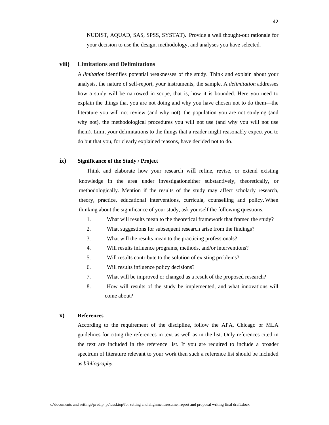NUDIST, AQUAD, SAS, SPSS, SYSTAT). Provide a well thought-out rationale for your decision to use the design, methodology, and analyses you have selected.

#### **viii) Limitations and Delimitations**

A *limitation* identifies potential weaknesses of the study. Think and explain about your analysis, the nature of self-report, your instruments, the sample. A *delimitation* addresses how a study will be narrowed in scope, that is, how it is bounded. Here you need to explain the things that you are not doing and why you have chosen not to do them—the literature you will not review (and why not), the population you are not studying (and why not), the methodological procedures you will not use (and why you will not use them). Limit your delimitations to the things that a reader might reasonably expect you to do but that you, for clearly explained reasons, have decided not to do.

#### **ix) Significance of the Study / Project**

 Think and elaborate how your research will refine, revise, or extend existing knowledge in the area under investigationeither substantively, theoretically, or methodologically. Mention if the results of the study may affect scholarly research, theory, practice, educational interventions, curricula, counselling and policy. When thinking about the significance of your study, ask yourself the following questions.

- 1. What will results mean to the theoretical framework that framed the study?
- 2. What suggestions for subsequent research arise from the findings?
- 3. What will the results mean to the practicing professionals?
- 4. Will results influence programs, methods, and/or interventions?
- 5. Will results contribute to the solution of existing problems?
- 6. Will results influence policy decisions?
- 7. What will be improved or changed as a result of the proposed research?
- 8. How will results of the study be implemented, and what innovations will come about?

#### **x) References**

According to the requirement of the discipline, follow the APA, Chicago or MLA guidelines for citing the references in text as well as in the list. Only references cited in the text are included in the reference list. If you are required to include a broader spectrum of literature relevant to your work then such a reference list should be included as *bibliography.*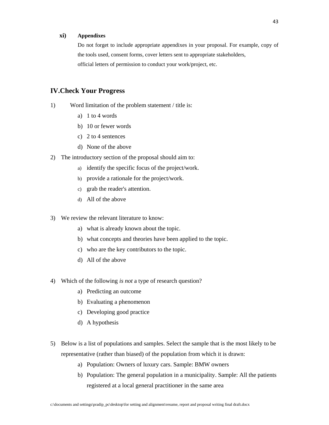#### **xi) Appendixes**

Do not forget to include appropriate appendixes in your proposal. For example, copy of the tools used, consent forms, cover letters sent to appropriate stakeholders, official letters of permission to conduct your work/project, etc.

#### **IV.Check Your Progress**

- 1) Word limitation of the problem statement / title is:
	- a) 1 to 4 words
	- b) 10 or fewer words
	- c) 2 to 4 sentences
	- d) None of the above
- 2) The introductory section of the proposal should aim to:
	- a) identify the specific focus of the project/work.
	- b) provide a rationale for the project/work.
	- c) grab the reader's attention.
	- d) All of the above
- 3) We review the relevant literature to know:
	- a) what is already known about the topic.
	- b) what concepts and theories have been applied to the topic.
	- c) who are the key contributors to the topic.
	- d) All of the above
- 4) Which of the following *is not* a type of research question?
	- a) Predicting an outcome
	- b) Evaluating a phenomenon
	- c) Developing good practice
	- d) A hypothesis
- 5) Below is a list of populations and samples. Select the sample that is the most likely to be representative (rather than biased) of the population from which it is drawn:
	- a) Population: Owners of luxury cars. Sample: BMW owners
	- b) Population: The general population in a municipality. Sample: All the patients registered at a local general practitioner in the same area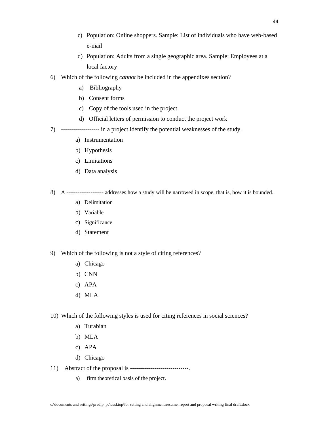- c) Population: Online shoppers. Sample: List of individuals who have web-based e-mail
- d) Population: Adults from a single geographic area. Sample: Employees at a local factory
- 6) Which of the following *cannot* be included in the appendixes section?
	- a) Bibliography
	- b) Consent forms
	- c) Copy of the tools used in the project
	- d) Official letters of permission to conduct the project work
- 7) ------------------- in a project identify the potential weaknesses of the study.
	- a) Instrumentation
	- b) Hypothesis
	- c) Limitations
	- d) Data analysis
- 8) A *--------------------* addresses how a study will be narrowed in scope, that is, how it is bounded.
	- a) Delimitation
	- b) Variable
	- c) Significance
	- d) Statement
- 9) Which of the following is not a style of citing references?
	- a) Chicago
	- b) CNN
	- c) APA
	- d) MLA
- 10) Which of the following styles is used for citing references in social sciences?
	- a) Turabian
	- b) MLA
	- c) APA
	- d) Chicago
- 11) Abstract of the proposal is -----------------------------.
	- a) firm theoretical basis of the project.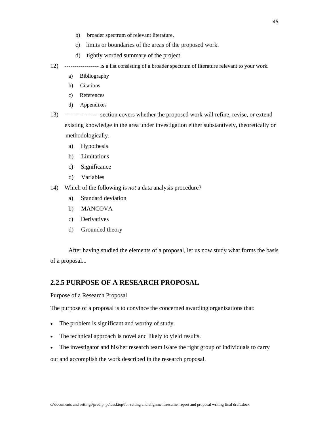- b) broader spectrum of relevant literature.
- c) limits or boundaries of the areas of the proposed work.
- d) tightly worded summary of the project.
- 12) ----------------- is a list consisting of a broader spectrum of literature relevant to your work*.* 
	- a) Bibliography
	- b) Citations
	- c) References
	- d) Appendixes
- 13) ----------------- section covers whether the proposed work will refine, revise, or extend existing knowledge in the area under investigation either substantively, theoretically or methodologically.
	- a) Hypothesis
	- b) Limitations
	- c) Significance
	- d) Variables
- 14) Which of the following is *not* a data analysis procedure?
	- a) Standard deviation
	- b) MANCOVA
	- c) Derivatives
	- d) Grounded theory

After having studied the elements of a proposal, let us now study what forms the basis of a proposal...

#### **2.2.5 PURPOSE OF A RESEARCH PROPOSAL**

Purpose of a Research Proposal

The purpose of a proposal is to convince the concerned awarding organizations that:

- The problem is significant and worthy of study.
- The technical approach is novel and likely to yield results.
- The investigator and his/her research team is/are the right group of individuals to carry

out and accomplish the work described in the research proposal.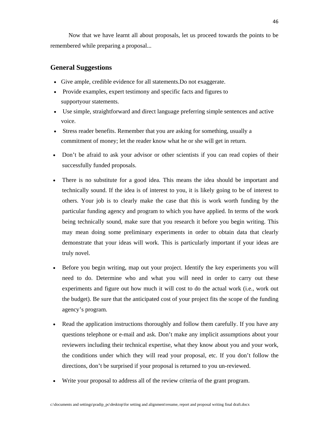Now that we have learnt all about proposals, let us proceed towards the points to be remembered while preparing a proposal...

#### **General Suggestions**

- Give ample, credible evidence for all statements.Do not exaggerate.
- Provide examples, expert testimony and specific facts and figures to supportyour statements.
- Use simple, straightforward and direct language preferring simple sentences and active voice.
- Stress reader benefits. Remember that you are asking for something, usually a commitment of money; let the reader know what he or she will get in return.
- Don't be afraid to ask your advisor or other scientists if you can read copies of their successfully funded proposals.
- There is no substitute for a good idea. This means the idea should be important and technically sound. If the idea is of interest to you, it is likely going to be of interest to others. Your job is to clearly make the case that this is work worth funding by the particular funding agency and program to which you have applied. In terms of the work being technically sound, make sure that you research it before you begin writing. This may mean doing some preliminary experiments in order to obtain data that clearly demonstrate that your ideas will work. This is particularly important if your ideas are truly novel.
- Before you begin writing, map out your project. Identify the key experiments you will need to do. Determine who and what you will need in order to carry out these experiments and figure out how much it will cost to do the actual work (i.e., work out the budget). Be sure that the anticipated cost of your project fits the scope of the funding agency's program.
- Read the application instructions thoroughly and follow them carefully. If you have any questions telephone or e-mail and ask. Don't make any implicit assumptions about your reviewers including their technical expertise, what they know about you and your work, the conditions under which they will read your proposal, etc. If you don't follow the directions, don't be surprised if your proposal is returned to you un-reviewed.
- Write your proposal to address all of the review criteria of the grant program.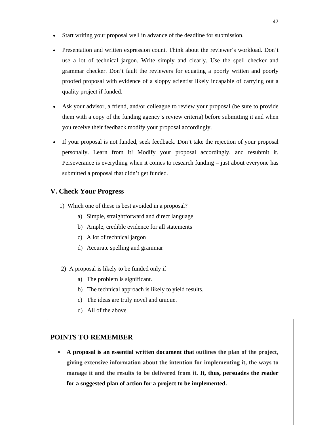- Start writing your proposal well in advance of the deadline for submission.
- Presentation and written expression count. Think about the reviewer's workload. Don't use a lot of technical jargon. Write simply and clearly. Use the spell checker and grammar checker. Don't fault the reviewers for equating a poorly written and poorly proofed proposal with evidence of a sloppy scientist likely incapable of carrying out a quality project if funded.
- Ask your advisor, a friend, and/or colleague to review your proposal (be sure to provide them with a copy of the funding agency's review criteria) before submitting it and when you receive their feedback modify your proposal accordingly.
- If your proposal is not funded, seek feedback. Don't take the rejection of your proposal personally. Learn from it! Modify your proposal accordingly, and resubmit it. Perseverance is everything when it comes to research funding – just about everyone has submitted a proposal that didn't get funded.

#### **V. Check Your Progress**

- 1) Which one of these is best avoided in a proposal?
	- a) Simple, straightforward and direct language
	- b) Ample, credible evidence for all statements
	- c) A lot of technical jargon
	- d) Accurate spelling and grammar
- 2) A proposal is likely to be funded only if
	- a) The problem is significant.
	- b) The technical approach is likely to yield results.
	- c) The ideas are truly novel and unique.
	- d) All of the above.

#### **POINTS TO REMEMBER**

• **A proposal is an essential written document that outlines the plan of the project, giving extensive information about the intention for implementing it, the ways to manage it and the results to be delivered from it. It, thus, persuades the reader for a suggested plan of action for a project to be implemented.**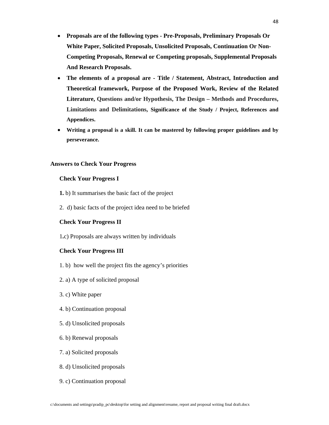- **Proposals are of the following types Pre-Proposals, Preliminary Proposals Or White Paper, Solicited Proposals, Unsolicited Proposals, Continuation Or Non-Competing Proposals, Renewal or Competing proposals, Supplemental Proposals And Research Proposals.**
- **The elements of a proposal are Title / Statement, Abstract, Introduction and Theoretical framework, Purpose of the Proposed Work, Review of the Related Literature, Questions and/or Hypothesis, The Design – Methods and Procedures, Limitations and Delimitations, Significance of the Study / Project, References and Appendices.**
- **Writing a proposal is a skill. It can be mastered by following proper guidelines and by perseverance.**

#### **Answers to Check Your Progress**

#### **Check Your Progress I**

- **1.** b) It summarises the basic fact of the project
- 2. d) basic facts of the project idea need to be briefed

#### **Check Your Progress II**

1**.**c) Proposals are always written by individuals

#### **Check Your Progress III**

- 1. b) how well the project fits the agency's priorities
- 2. a) A type of solicited proposal
- 3. c) White paper
- 4. b) Continuation proposal
- 5. d) Unsolicited proposals
- 6. b) Renewal proposals
- 7. a) Solicited proposals
- 8. d) Unsolicited proposals
- 9. c) Continuation proposal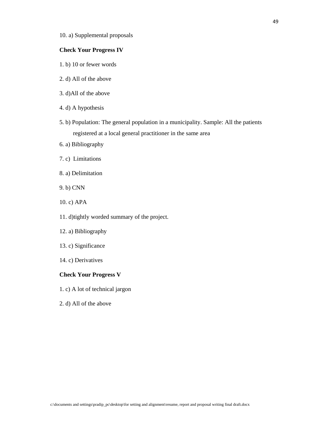10. a) Supplemental proposals

#### **Check Your Progress IV**

- 1. b) 10 or fewer words
- 2. d) All of the above
- 3. d)All of the above
- 4. d) A hypothesis
- 5. b) Population: The general population in a municipality. Sample: All the patients registered at a local general practitioner in the same area
- 6. a) Bibliography
- 7. c) Limitations
- 8. a) Delimitation
- 9. b) CNN
- 10. c) APA
- 11. d)tightly worded summary of the project.
- 12. a) Bibliography
- 13. c) Significance
- 14. c) Derivatives

#### **Check Your Progress V**

- 1. c) A lot of technical jargon
- 2. d) All of the above